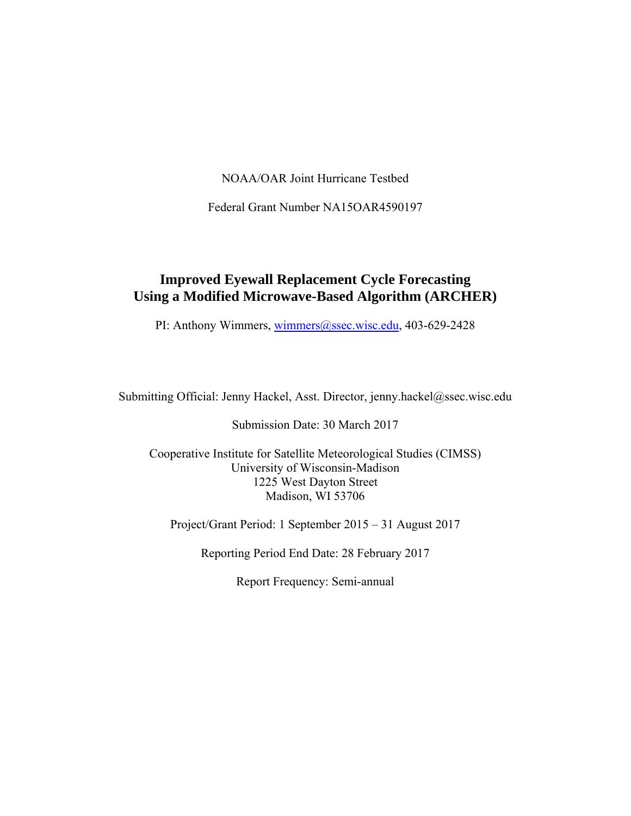NOAA/OAR Joint Hurricane Testbed

Federal Grant Number NA15OAR4590197

#### **Improved Eyewall Replacement Cycle Forecasting Using a Modified Microwave-Based Algorithm (ARCHER)**

PI: Anthony Wimmers, wimmers@ssec.wisc.edu, 403-629-2428

Submitting Official: Jenny Hackel, Asst. Director, jenny.hackel@ssec.wisc.edu

Submission Date: 30 March 2017

Cooperative Institute for Satellite Meteorological Studies (CIMSS) University of Wisconsin-Madison 1225 West Dayton Street Madison, WI 53706

Project/Grant Period: 1 September 2015 – 31 August 2017

Reporting Period End Date: 28 February 2017

Report Frequency: Semi-annual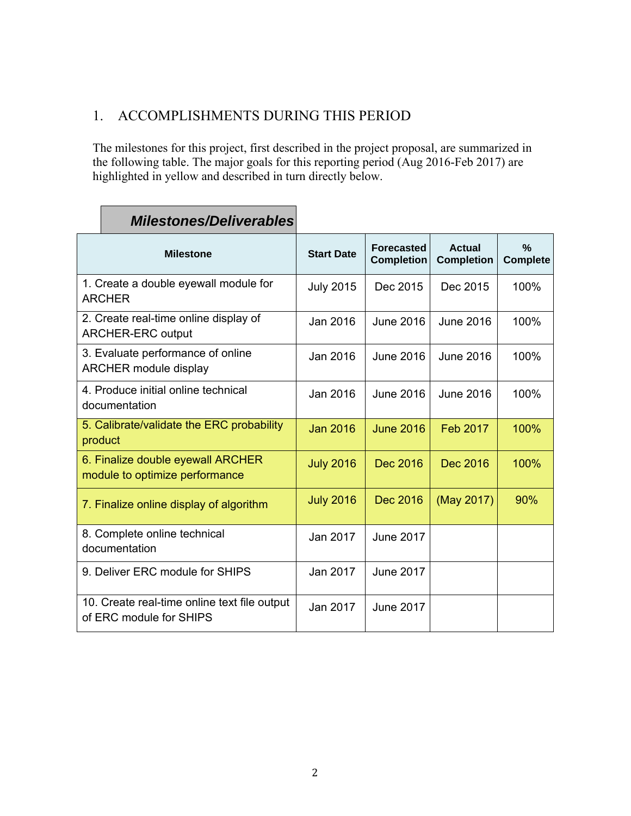# 1. ACCOMPLISHMENTS DURING THIS PERIOD

The milestones for this project, first described in the project proposal, are summarized in the following table. The major goals for this reporting period (Aug 2016-Feb 2017) are highlighted in yellow and described in turn directly below.

| <b>Milestone</b>                                                        | <b>Start Date</b> | <b>Forecasted</b><br><b>Completion</b> | <b>Actual</b><br><b>Completion</b> | $\frac{0}{2}$<br><b>Complete</b> |
|-------------------------------------------------------------------------|-------------------|----------------------------------------|------------------------------------|----------------------------------|
| 1. Create a double eyewall module for<br><b>ARCHER</b>                  | <b>July 2015</b>  | Dec 2015                               | Dec 2015                           | 100%                             |
| 2. Create real-time online display of<br><b>ARCHER-ERC output</b>       | Jan 2016          | <b>June 2016</b>                       | <b>June 2016</b>                   | 100%                             |
| 3. Evaluate performance of online<br><b>ARCHER module display</b>       | Jan 2016          | June 2016                              | June 2016                          | 100%                             |
| 4. Produce initial online technical<br>documentation                    | Jan 2016          | June 2016                              | <b>June 2016</b>                   | 100%                             |
| 5. Calibrate/validate the ERC probability<br>product                    | <b>Jan 2016</b>   | <b>June 2016</b>                       | Feb 2017                           | 100%                             |
| 6. Finalize double eyewall ARCHER<br>module to optimize performance     | <b>July 2016</b>  | Dec 2016                               | Dec 2016                           | 100%                             |
| 7. Finalize online display of algorithm                                 | <b>July 2016</b>  | Dec 2016                               | (May 2017)                         | 90%                              |
| 8. Complete online technical<br>documentation                           | Jan 2017          | <b>June 2017</b>                       |                                    |                                  |
| 9. Deliver ERC module for SHIPS                                         | Jan 2017          | <b>June 2017</b>                       |                                    |                                  |
| 10. Create real-time online text file output<br>of ERC module for SHIPS | Jan 2017          | <b>June 2017</b>                       |                                    |                                  |

# *Milestones/Deliverables*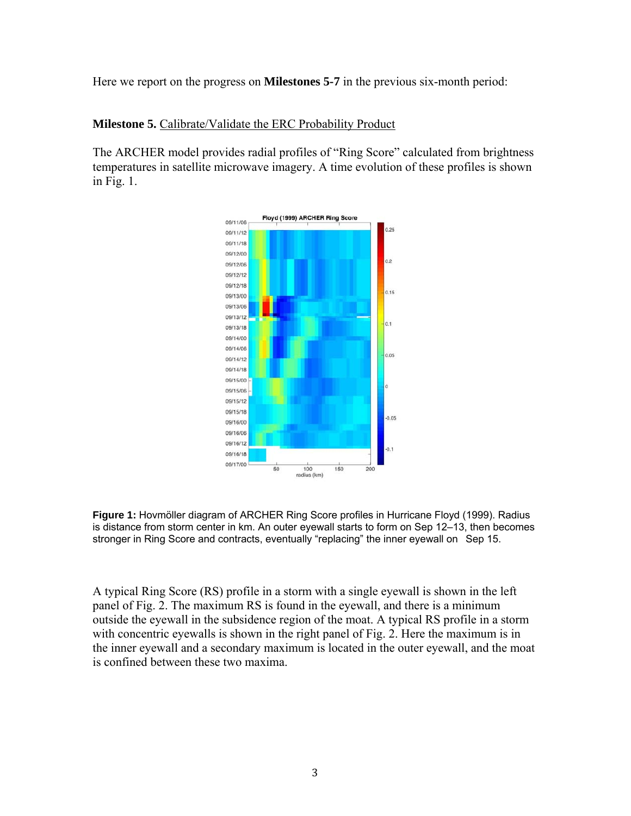Here we report on the progress on **Milestones 5-7** in the previous six-month period:

#### **Milestone 5.** Calibrate/Validate the ERC Probability Product

The ARCHER model provides radial profiles of "Ring Score" calculated from brightness temperatures in satellite microwave imagery. A time evolution of these profiles is shown in Fig. 1.



**Figure 1:** Hovmöller diagram of ARCHER Ring Score profiles in Hurricane Floyd (1999). Radius is distance from storm center in km. An outer eyewall starts to form on Sep 12–13, then becomes stronger in Ring Score and contracts, eventually "replacing" the inner eyewall on Sep 15.

A typical Ring Score (RS) profile in a storm with a single eyewall is shown in the left panel of Fig. 2. The maximum RS is found in the eyewall, and there is a minimum outside the eyewall in the subsidence region of the moat. A typical RS profile in a storm with concentric eyewalls is shown in the right panel of Fig. 2. Here the maximum is in the inner eyewall and a secondary maximum is located in the outer eyewall, and the moat is confined between these two maxima.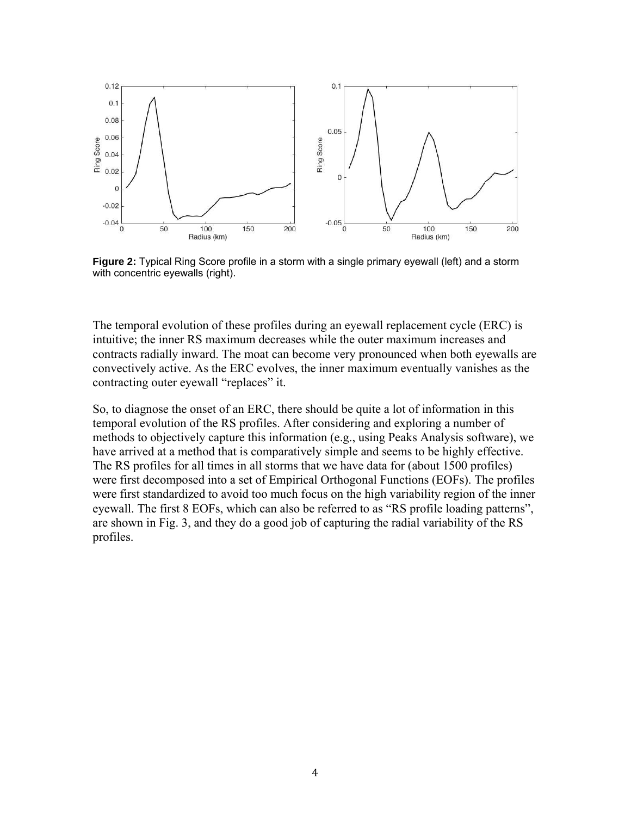

**Figure 2:** Typical Ring Score profile in a storm with a single primary eyewall (left) and a storm with concentric eyewalls (right).

The temporal evolution of these profiles during an eyewall replacement cycle (ERC) is intuitive; the inner RS maximum decreases while the outer maximum increases and contracts radially inward. The moat can become very pronounced when both eyewalls are convectively active. As the ERC evolves, the inner maximum eventually vanishes as the contracting outer eyewall "replaces" it.

So, to diagnose the onset of an ERC, there should be quite a lot of information in this temporal evolution of the RS profiles. After considering and exploring a number of methods to objectively capture this information (e.g., using Peaks Analysis software), we have arrived at a method that is comparatively simple and seems to be highly effective. The RS profiles for all times in all storms that we have data for (about 1500 profiles) were first decomposed into a set of Empirical Orthogonal Functions (EOFs). The profiles were first standardized to avoid too much focus on the high variability region of the inner eyewall. The first 8 EOFs, which can also be referred to as "RS profile loading patterns", are shown in Fig. 3, and they do a good job of capturing the radial variability of the RS profiles.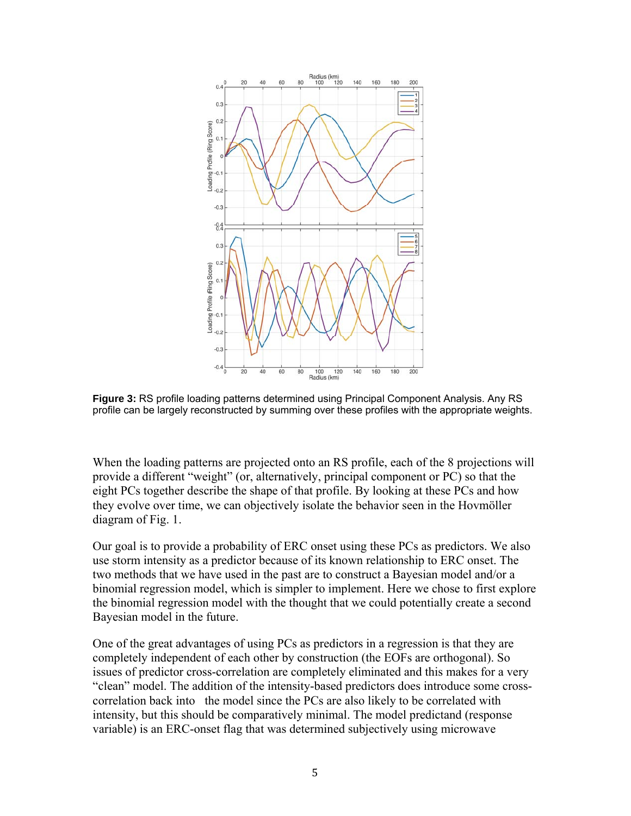

**Figure 3:** RS profile loading patterns determined using Principal Component Analysis. Any RS profile can be largely reconstructed by summing over these profiles with the appropriate weights.

When the loading patterns are projected onto an RS profile, each of the 8 projections will provide a different "weight" (or, alternatively, principal component or PC) so that the eight PCs together describe the shape of that profile. By looking at these PCs and how they evolve over time, we can objectively isolate the behavior seen in the Hovmöller diagram of Fig. 1.

Our goal is to provide a probability of ERC onset using these PCs as predictors. We also use storm intensity as a predictor because of its known relationship to ERC onset. The two methods that we have used in the past are to construct a Bayesian model and/or a binomial regression model, which is simpler to implement. Here we chose to first explore the binomial regression model with the thought that we could potentially create a second Bayesian model in the future.

One of the great advantages of using PCs as predictors in a regression is that they are completely independent of each other by construction (the EOFs are orthogonal). So issues of predictor cross-correlation are completely eliminated and this makes for a very "clean" model. The addition of the intensity-based predictors does introduce some crosscorrelation back into the model since the PCs are also likely to be correlated with intensity, but this should be comparatively minimal. The model predictand (response variable) is an ERC-onset flag that was determined subjectively using microwave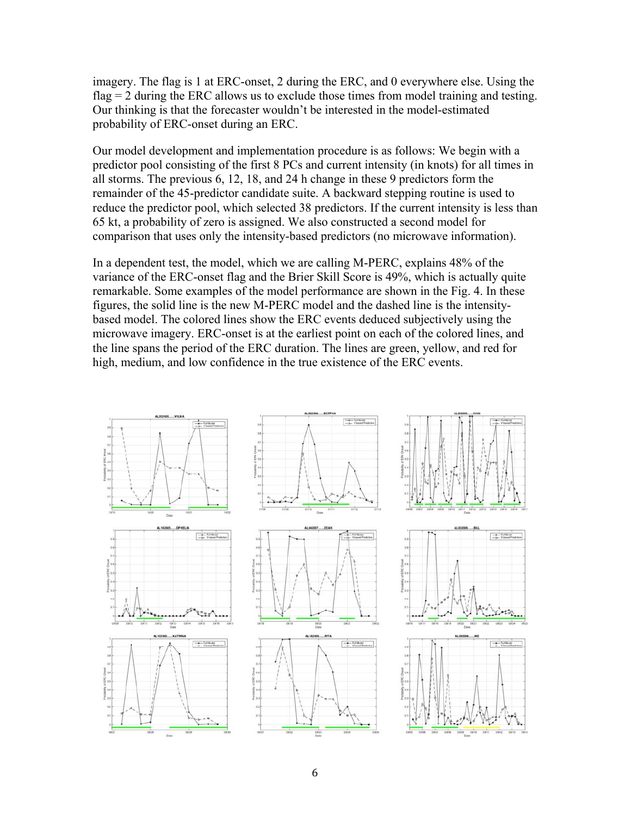imagery. The flag is 1 at ERC-onset, 2 during the ERC, and 0 everywhere else. Using the flag = 2 during the ERC allows us to exclude those times from model training and testing. Our thinking is that the forecaster wouldn't be interested in the model-estimated probability of ERC-onset during an ERC.

Our model development and implementation procedure is as follows: We begin with a predictor pool consisting of the first 8 PCs and current intensity (in knots) for all times in all storms. The previous 6, 12, 18, and 24 h change in these 9 predictors form the remainder of the 45-predictor candidate suite. A backward stepping routine is used to reduce the predictor pool, which selected 38 predictors. If the current intensity is less than 65 kt, a probability of zero is assigned. We also constructed a second model for comparison that uses only the intensity-based predictors (no microwave information).

In a dependent test, the model, which we are calling M-PERC, explains 48% of the variance of the ERC-onset flag and the Brier Skill Score is 49%, which is actually quite remarkable. Some examples of the model performance are shown in the Fig. 4. In these figures, the solid line is the new M-PERC model and the dashed line is the intensitybased model. The colored lines show the ERC events deduced subjectively using the microwave imagery. ERC-onset is at the earliest point on each of the colored lines, and the line spans the period of the ERC duration. The lines are green, yellow, and red for high, medium, and low confidence in the true existence of the ERC events.

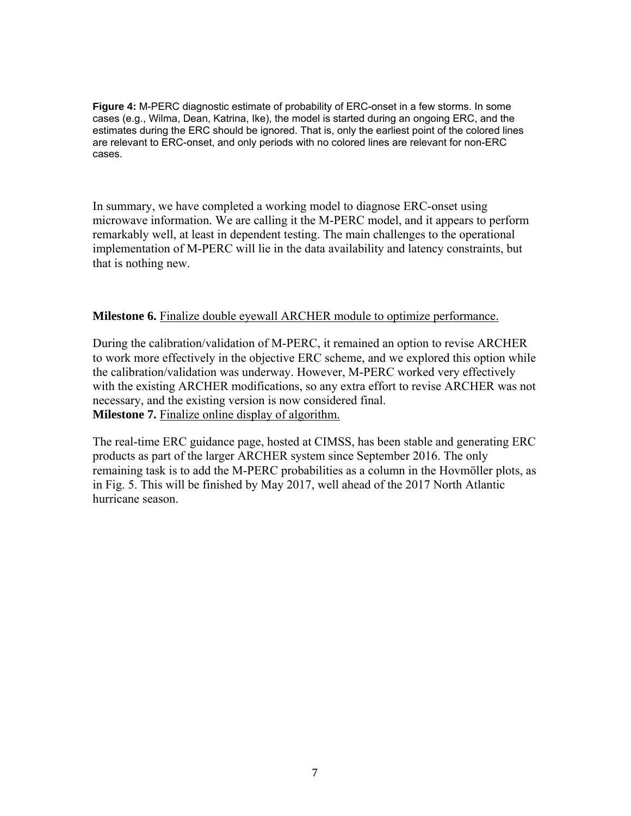**Figure 4:** M-PERC diagnostic estimate of probability of ERC-onset in a few storms. In some cases (e.g., Wilma, Dean, Katrina, Ike), the model is started during an ongoing ERC, and the estimates during the ERC should be ignored. That is, only the earliest point of the colored lines are relevant to ERC-onset, and only periods with no colored lines are relevant for non-ERC cases.

In summary, we have completed a working model to diagnose ERC-onset using microwave information. We are calling it the M-PERC model, and it appears to perform remarkably well, at least in dependent testing. The main challenges to the operational implementation of M-PERC will lie in the data availability and latency constraints, but that is nothing new.

#### **Milestone 6.** Finalize double eyewall ARCHER module to optimize performance.

During the calibration/validation of M-PERC, it remained an option to revise ARCHER to work more effectively in the objective ERC scheme, and we explored this option while the calibration/validation was underway. However, M-PERC worked very effectively with the existing ARCHER modifications, so any extra effort to revise ARCHER was not necessary, and the existing version is now considered final. **Milestone 7.** Finalize online display of algorithm.

The real-time ERC guidance page, hosted at CIMSS, has been stable and generating ERC products as part of the larger ARCHER system since September 2016. The only remaining task is to add the M-PERC probabilities as a column in the Hovmöller plots, as in Fig. 5. This will be finished by May 2017, well ahead of the 2017 North Atlantic hurricane season.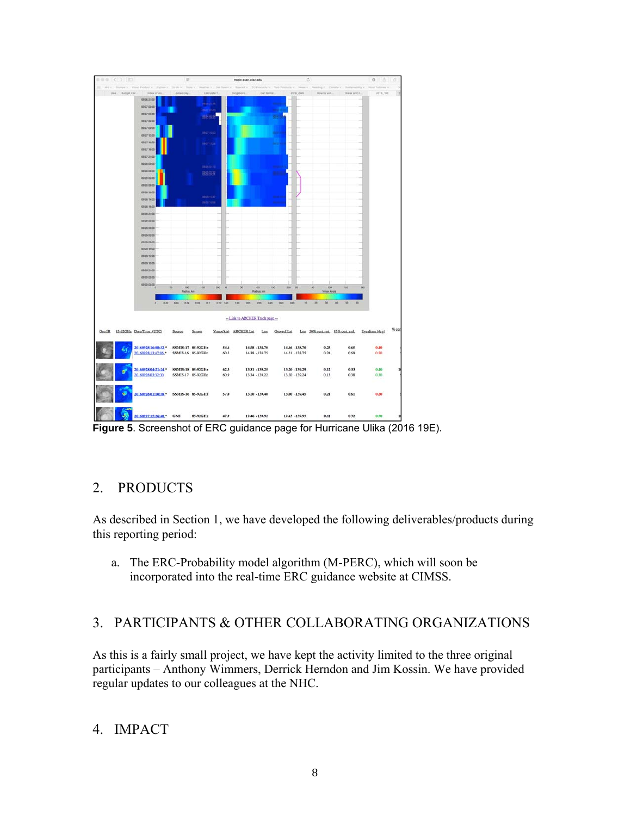

**Figure 5**. Screenshot of ERC guidance page for Hurricane Ulika (2016 19E).

### 2. PRODUCTS

As described in Section 1, we have developed the following deliverables/products during this reporting period:

a. The ERC-Probability model algorithm (M-PERC), which will soon be incorporated into the real-time ERC guidance website at CIMSS.

# 3. PARTICIPANTS & OTHER COLLABORATING ORGANIZATIONS

As this is a fairly small project, we have kept the activity limited to the three original participants – Anthony Wimmers, Derrick Herndon and Jim Kossin. We have provided regular updates to our colleagues at the NHC.

### 4. IMPACT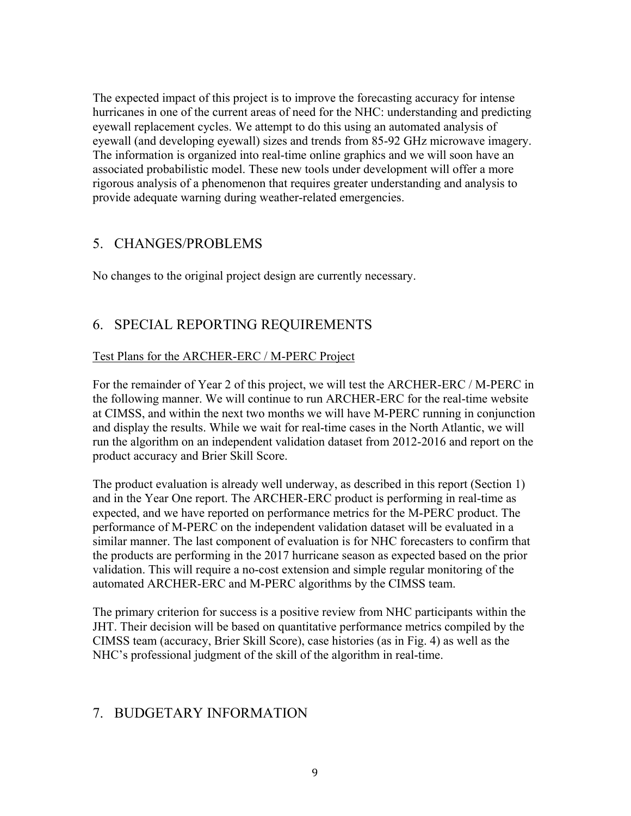The expected impact of this project is to improve the forecasting accuracy for intense hurricanes in one of the current areas of need for the NHC: understanding and predicting eyewall replacement cycles. We attempt to do this using an automated analysis of eyewall (and developing eyewall) sizes and trends from 85-92 GHz microwave imagery. The information is organized into real-time online graphics and we will soon have an associated probabilistic model. These new tools under development will offer a more rigorous analysis of a phenomenon that requires greater understanding and analysis to provide adequate warning during weather-related emergencies.

#### 5. CHANGES/PROBLEMS

No changes to the original project design are currently necessary.

## 6. SPECIAL REPORTING REQUIREMENTS

#### Test Plans for the ARCHER-ERC / M-PERC Project

For the remainder of Year 2 of this project, we will test the ARCHER-ERC / M-PERC in the following manner. We will continue to run ARCHER-ERC for the real-time website at CIMSS, and within the next two months we will have M-PERC running in conjunction and display the results. While we wait for real-time cases in the North Atlantic, we will run the algorithm on an independent validation dataset from 2012-2016 and report on the product accuracy and Brier Skill Score.

The product evaluation is already well underway, as described in this report (Section 1) and in the Year One report. The ARCHER-ERC product is performing in real-time as expected, and we have reported on performance metrics for the M-PERC product. The performance of M-PERC on the independent validation dataset will be evaluated in a similar manner. The last component of evaluation is for NHC forecasters to confirm that the products are performing in the 2017 hurricane season as expected based on the prior validation. This will require a no-cost extension and simple regular monitoring of the automated ARCHER-ERC and M-PERC algorithms by the CIMSS team.

The primary criterion for success is a positive review from NHC participants within the JHT. Their decision will be based on quantitative performance metrics compiled by the CIMSS team (accuracy, Brier Skill Score), case histories (as in Fig. 4) as well as the NHC's professional judgment of the skill of the algorithm in real-time.

### 7. BUDGETARY INFORMATION